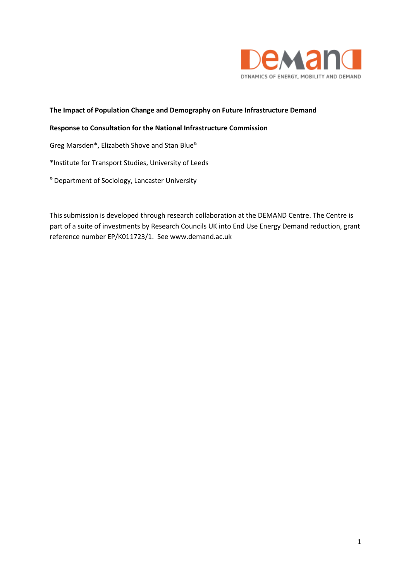

## **The Impact of Population Change and Demography on Future Infrastructure Demand**

#### **Response to Consultation for the National Infrastructure Commission**

Greg Marsden\*, Elizabeth Shove and Stan Blue&

\*Institute for Transport Studies, University of Leeds

& Department of Sociology, Lancaster University

This submission is developed through research collaboration at the DEMAND Centre. The Centre is part of a suite of investments by Research Councils UK into End Use Energy Demand reduction, grant reference number EP/K011723/1. See www.demand.ac.uk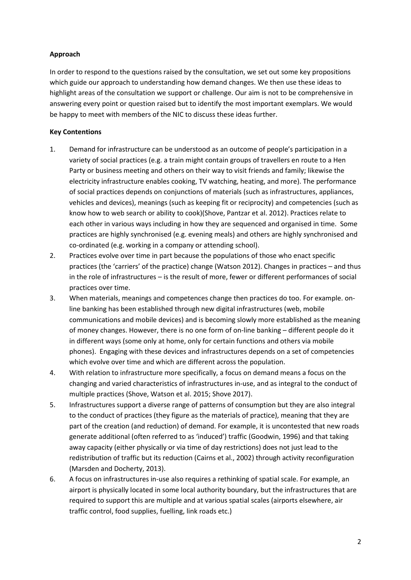# **Approach**

In order to respond to the questions raised by the consultation, we set out some key propositions which guide our approach to understanding how demand changes. We then use these ideas to highlight areas of the consultation we support or challenge. Our aim is not to be comprehensive in answering every point or question raised but to identify the most important exemplars. We would be happy to meet with members of the NIC to discuss these ideas further.

# **Key Contentions**

- 1. Demand for infrastructure can be understood as an outcome of people's participation in a variety of social practices (e.g. a train might contain groups of travellers en route to a Hen Party or business meeting and others on their way to visit friends and family; likewise the electricity infrastructure enables cooking, TV watching, heating, and more). The performance of social practices depends on conjunctions of materials (such as infrastructures, appliances, vehicles and devices), meanings (such as keeping fit or reciprocity) and competencies (such as know how to web search or ability to cook)(Shove, Pantzar et al. 2012). Practices relate to each other in various ways including in how they are sequenced and organised in time. Some practices are highly synchronised (e.g. evening meals) and others are highly synchronised and co-ordinated (e.g. working in a company or attending school).
- 2. Practices evolve over time in part because the populations of those who enact specific practices (the 'carriers' of the practice) change (Watson 2012). Changes in practices – and thus in the role of infrastructures – is the result of more, fewer or different performances of social practices over time.
- 3. When materials, meanings and competences change then practices do too. For example. online banking has been established through new digital infrastructures (web, mobile communications and mobile devices) and is becoming slowly more established as the meaning of money changes. However, there is no one form of on-line banking – different people do it in different ways (some only at home, only for certain functions and others via mobile phones). Engaging with these devices and infrastructures depends on a set of competencies which evolve over time and which are different across the population.
- 4. With relation to infrastructure more specifically, a focus on demand means a focus on the changing and varied characteristics of infrastructures in-use, and as integral to the conduct of multiple practices (Shove, Watson et al. 2015; Shove 2017).
- 5. Infrastructures support a diverse range of patterns of consumption but they are also integral to the conduct of practices (they figure as the materials of practice), meaning that they are part of the creation (and reduction) of demand. For example, it is uncontested that new roads generate additional (often referred to as 'induced') traffic (Goodwin, 1996) and that taking away capacity (either physically or via time of day restrictions) does not just lead to the redistribution of traffic but its reduction (Cairns et al., 2002) through activity reconfiguration (Marsden and Docherty, 2013).
- 6. A focus on infrastructures in-use also requires a rethinking of spatial scale. For example, an airport is physically located in some local authority boundary, but the infrastructures that are required to support this are multiple and at various spatial scales (airports elsewhere, air traffic control, food supplies, fuelling, link roads etc.)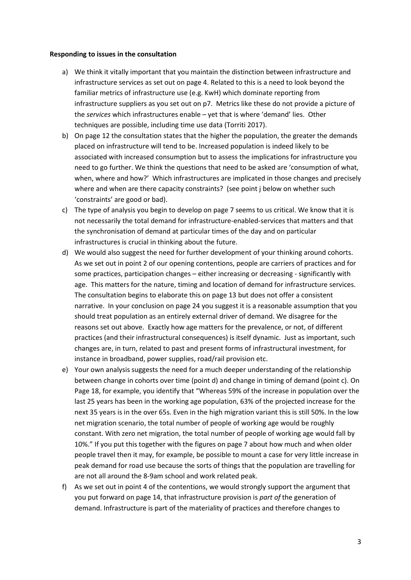#### **Responding to issues in the consultation**

- a) We think it vitally important that you maintain the distinction between infrastructure and infrastructure services as set out on page 4. Related to this is a need to look beyond the familiar metrics of infrastructure use (e.g. KwH) which dominate reporting from infrastructure suppliers as you set out on p7. Metrics like these do not provide a picture of the *services* which infrastructures enable – yet that is where 'demand' lies. Other techniques are possible, including time use data (Torriti 2017).
- b) On page 12 the consultation states that the higher the population, the greater the demands placed on infrastructure will tend to be. Increased population is indeed likely to be associated with increased consumption but to assess the implications for infrastructure you need to go further. We think the questions that need to be asked are 'consumption of what, when, where and how?' Which infrastructures are implicated in those changes and precisely where and when are there capacity constraints? (see point j below on whether such 'constraints' are good or bad).
- c) The type of analysis you begin to develop on page 7 seems to us critical. We know that it is not necessarily the total demand for infrastructure-enabled-services that matters and that the synchronisation of demand at particular times of the day and on particular infrastructures is crucial in thinking about the future.
- d) We would also suggest the need for further development of your thinking around cohorts. As we set out in point 2 of our opening contentions, people are carriers of practices and for some practices, participation changes – either increasing or decreasing - significantly with age. This matters for the nature, timing and location of demand for infrastructure services. The consultation begins to elaborate this on page 13 but does not offer a consistent narrative. In your conclusion on page 24 you suggest it is a reasonable assumption that you should treat population as an entirely external driver of demand. We disagree for the reasons set out above. Exactly how age matters for the prevalence, or not, of different practices (and their infrastructural consequences) is itself dynamic. Just as important, such changes are, in turn, related to past and present forms of infrastructural investment, for instance in broadband, power supplies, road/rail provision etc.
- e) Your own analysis suggests the need for a much deeper understanding of the relationship between change in cohorts over time (point d) and change in timing of demand (point c). On Page 18, for example, you identify that "Whereas 59% of the increase in population over the last 25 years has been in the working age population, 63% of the projected increase for the next 35 years is in the over 65s. Even in the high migration variant this is still 50%. In the low net migration scenario, the total number of people of working age would be roughly constant. With zero net migration, the total number of people of working age would fall by 10%." If you put this together with the figures on page 7 about how much and when older people travel then it may, for example, be possible to mount a case for very little increase in peak demand for road use because the sorts of things that the population are travelling for are not all around the 8-9am school and work related peak.
- f) As we set out in point 4 of the contentions, we would strongly support the argument that you put forward on page 14, that infrastructure provision is *part of* the generation of demand. Infrastructure is part of the materiality of practices and therefore changes to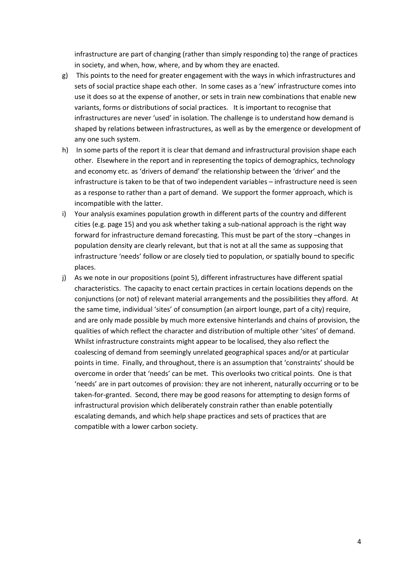infrastructure are part of changing (rather than simply responding to) the range of practices in society, and when, how, where, and by whom they are enacted.

- g) This points to the need for greater engagement with the ways in which infrastructures and sets of social practice shape each other. In some cases as a 'new' infrastructure comes into use it does so at the expense of another, or sets in train new combinations that enable new variants, forms or distributions of social practices. It is important to recognise that infrastructures are never 'used' in isolation. The challenge is to understand how demand is shaped by relations between infrastructures, as well as by the emergence or development of any one such system.
- h) In some parts of the report it is clear that demand and infrastructural provision shape each other. Elsewhere in the report and in representing the topics of demographics, technology and economy etc. as 'drivers of demand' the relationship between the 'driver' and the infrastructure is taken to be that of two independent variables – infrastructure need is seen as a response to rather than a part of demand. We support the former approach, which is incompatible with the latter.
- i) Your analysis examines population growth in different parts of the country and different cities (e.g. page 15) and you ask whether taking a sub-national approach is the right way forward for infrastructure demand forecasting. This must be part of the story –changes in population density are clearly relevant, but that is not at all the same as supposing that infrastructure 'needs' follow or are closely tied to population, or spatially bound to specific places.
- j) As we note in our propositions (point 5), different infrastructures have different spatial characteristics. The capacity to enact certain practices in certain locations depends on the conjunctions (or not) of relevant material arrangements and the possibilities they afford. At the same time, individual 'sites' of consumption (an airport lounge, part of a city) require, and are only made possible by much more extensive hinterlands and chains of provision, the qualities of which reflect the character and distribution of multiple other 'sites' of demand. Whilst infrastructure constraints might appear to be localised, they also reflect the coalescing of demand from seemingly unrelated geographical spaces and/or at particular points in time. Finally, and throughout, there is an assumption that 'constraints' should be overcome in order that 'needs' can be met. This overlooks two critical points. One is that 'needs' are in part outcomes of provision: they are not inherent, naturally occurring or to be taken-for-granted. Second, there may be good reasons for attempting to design forms of infrastructural provision which deliberately constrain rather than enable potentially escalating demands, and which help shape practices and sets of practices that are compatible with a lower carbon society.